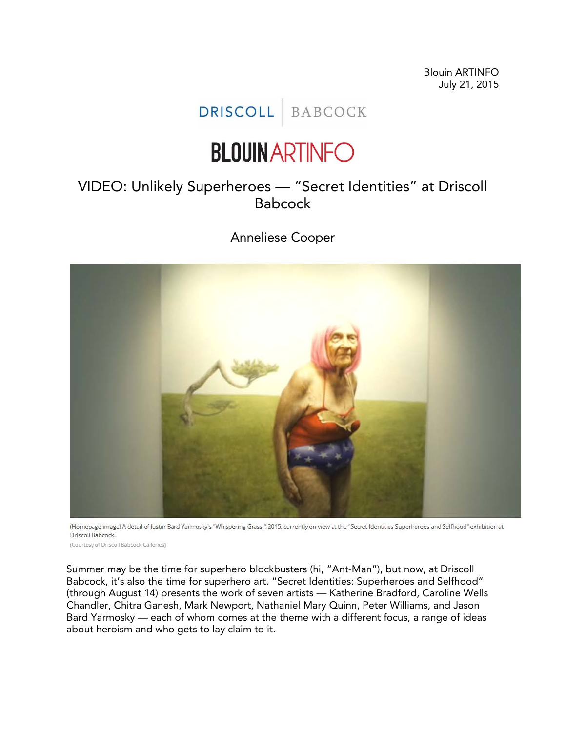Blouin ARTINFO July 21, 2015

## DRISCOLL BABCOCK

## **BLOUIN ARTINFO**

## VIDEO: Unlikely Superheroes — "Secret Identities" at Driscoll Babcock

Anneliese Cooper



(Homepage image) A detail of Justin Bard Yarmosky's "Whispering Grass," 2015, currently on view at the "Secret Identities Superheroes and Selfhood" exhibition at Driscoll Babcock.

(Courtesy of Driscoll Babcock Galleries)

Summer may be the time for superhero blockbusters (hi, "Ant-Man"), but now, at Driscoll Babcock, it's also the time for superhero art. "Secret Identities: Superheroes and Selfhood" (through August 14) presents the work of seven artists — Katherine Bradford, Caroline Wells Chandler, Chitra Ganesh, Mark Newport, Nathaniel Mary Quinn, Peter Williams, and Jason Bard Yarmosky — each of whom comes at the theme with a different focus, a range of ideas about heroism and who gets to lay claim to it.